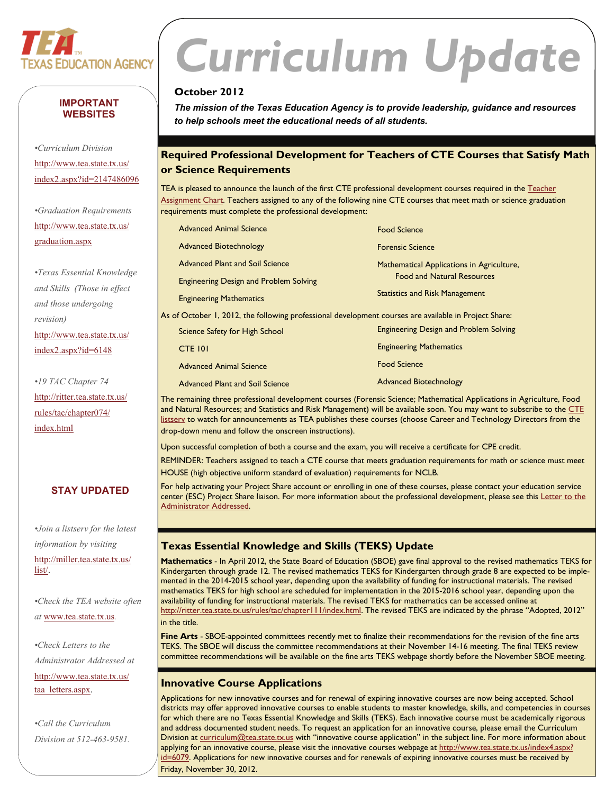

#### **IMPORTANT WEBSITES**

*•Curriculum Division*  [http://www.tea.state.tx.us/](http://www.tea.state.tx.us/index2.aspx?id=2147486096) [index2.aspx?id=2147486096](http://www.tea.state.tx.us/index2.aspx?id=2147486096)

*•Graduation Requirements*  [http://www.tea.state.tx.us/](http://www.tea.state.tx.us/graduation.aspx) [graduation.aspx](http://www.tea.state.tx.us/graduation.aspx)

*•Texas Essential Knowledge and Skills (Those in effect and those undergoing revision)*  [http://www.tea.state.tx.us/](http://www.tea.state.tx.us/index2.aspx?id=6148) [index2.aspx?id=6148](http://www.tea.state.tx.us/index2.aspx?id=6148)

*•19 TAC Chapter 74*  [http://ritter.tea.state.tx.us/](http://ritter.tea.state.tx.us/rules/tac/chapter074/index.html) [rules/tac/chapter074/](http://ritter.tea.state.tx.us/rules/tac/chapter074/index.html) [index.html](http://ritter.tea.state.tx.us/rules/tac/chapter074/index.html)

#### **STAY UPDATED**

*•Join a listserv for the latest information by visiting*  [http://miller.tea.state.tx.us/](http://miller.tea.state.tx.us/list/) [list/](http://miller.tea.state.tx.us/list/).

*•Check the TEA website often at* [www.tea.state.tx.us](http://www.tea.state.tx.us)*.* 

*•Check Letters to the Administrator Addressed at*  [http://www.tea.state.tx.us/](http://www.tea.state.tx.us/taa_letters.aspx) [taa\\_letters.aspx](http://www.tea.state.tx.us/taa_letters.aspx).

*•Call the Curriculum Division at 512-463-9581.* 

# *Curriculum Update*

#### **October 2012**

*The mission of the Texas Education Agency is to provide leadership, guidance and resources to help schools meet the educational needs of all students.* 

#### **Required Professional Development for Teachers of CTE Courses that Satisfy Math or Science Requirements**

TEA is pleased to announce the launch of the first CTE professional development courses required in the Teacher [Assignment Chart.](http://info.sos.state.tx.us/fids/201004175-1.pdf) Teachers assigned to any of the following nine CTE courses that meet math or science graduation requirements must complete the professional development:

|                                                                                                       | <b>Advanced Animal Science</b>                | <b>Food Science</b>                           |  |
|-------------------------------------------------------------------------------------------------------|-----------------------------------------------|-----------------------------------------------|--|
|                                                                                                       | <b>Advanced Biotechnology</b>                 | <b>Forensic Science</b>                       |  |
|                                                                                                       | <b>Advanced Plant and Soil Science</b>        | Mathematical Applications in Agriculture,     |  |
|                                                                                                       | <b>Engineering Design and Problem Solving</b> | <b>Food and Natural Resources</b>             |  |
|                                                                                                       | <b>Engineering Mathematics</b>                | <b>Statistics and Risk Management</b>         |  |
| As of October 1, 2012, the following professional development courses are available in Project Share: |                                               |                                               |  |
|                                                                                                       | Science Safety for High School                | <b>Engineering Design and Problem Solving</b> |  |

| <b>CTE 101</b>                  | <b>Engineering Mathematics</b> |
|---------------------------------|--------------------------------|
| <b>Advanced Animal Science</b>  | <b>Food Science</b>            |
| Advanced Plant and Soil Science | <b>Advanced Biotechnology</b>  |

The remaining three professional development courses (Forensic Science; Mathematical Applications in Agriculture, Food and Natural Resources; and Statistics and Risk Management) will be available soon. You may want to subscribe to the CTE listsery to watch for announcements as TEA publishes these courses (choose Career and Technology Directors from the drop-down menu and follow the onscreen instructions).

Upon successful completion of both a course and the exam, you will receive a certificate for CPE credit.

REMINDER: Teachers assigned to teach a CTE course that meets graduation requirements for math or science must meet HOUSE (high objective uniform standard of evaluation) requirements for NCLB.

For help activating your Project Share account or enrolling in one of these courses, please contact your education service center (ESC) Project Share liaison. For more information about the professional development, please see this Letter to the [Administrator Addressed](http://www.tea.state.tx.us/index4.aspx?id=2147508147).

#### **Texas Essential Knowledge and Skills (TEKS) Update**

**Mathematics** - In April 2012, the State Board of Education (SBOE) gave final approval to the revised mathematics TEKS for Kindergarten through grade 12. The revised mathematics TEKS for Kindergarten through grade 8 are expected to be implemented in the 2014-2015 school year, depending upon the availability of funding for instructional materials. The revised mathematics TEKS for high school are scheduled for implementation in the 2015-2016 school year, depending upon the availability of funding for instructional materials. The revised TEKS for mathematics can be accessed online at [http://ritter.tea.state.tx.us/rules/tac/chapter111/index.html.](http://ritter.tea.state.tx.us/rules/tac/chapter111/index.html) The revised TEKS are indicated by the phrase "Adopted, 2012" in the title.

**Fine Arts** - SBOE-appointed committees recently met to finalize their recommendations for the revision of the fine arts TEKS. The SBOE will discuss the committee recommendations at their November 14-16 meeting. The final TEKS review committee recommendations will be available on the fine arts TEKS webpage shortly before the November SBOE meeting.

#### **Innovative Course Applications**

Applications for new innovative courses and for renewal of expiring innovative courses are now being accepted. School districts may offer approved innovative courses to enable students to master knowledge, skills, and competencies in courses for which there are no Texas Essential Knowledge and Skills (TEKS). Each innovative course must be academically rigorous and address documented student needs. To request an application for an innovative course, please email the Curriculum Division at [curriculum@tea.state.tx.us](mailto:curriculum@tea.state.tx.us) with "innovative course application" in the subject line. For more information about applying for an innovative course, please visit the innovative courses webpage at [http://www.tea.state.tx.us/index4.aspx?](http://www.tea.state.tx.us/index4.aspx?id=6079) [id=6079.](http://www.tea.state.tx.us/index4.aspx?id=6079) Applications for new innovative courses and for renewals of expiring innovative courses must be received by Friday, November 30, 2012.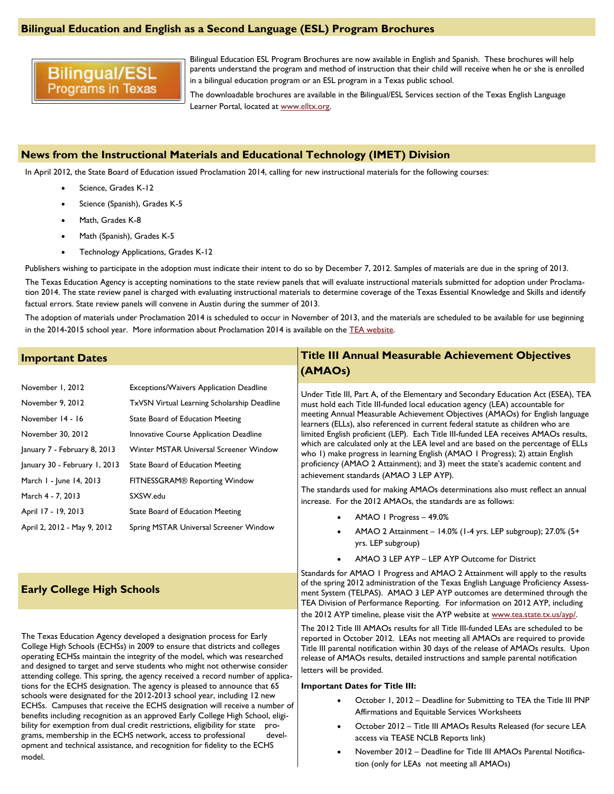#### **Bilingual Education and English as a Second Language (ESL) Program Brochures**

### **Bilingual/ESL Programs in Texas**

Bilingual Education ESL Program Brochures are now available in English and Spanish. These brochures will help parents understand the program and method of instruction that their child will receive when he or she is enrolled in a bilingual education program or an ESL program in a Texas public school.

The downloadable brochures are available in the Bilingual/ESL Services section of the Texas English Language Learner Portal, located at [www.elltx.org](http://www.elltx.org).

#### **News from the Instructional Materials and Educational Technology (IMET) Division**

In April 2012, the State Board of Education issued Proclamation 2014, calling for new instructional materials for the following courses:

- Science, Grades K-12
- Science (Spanish), Grades K-5
- Math, Grades K-8
- Math (Spanish), Grades K-5
- Technology Applications, Grades K-12

Publishers wishing to participate in the adoption must indicate their intent to do so by December 7, 2012. Samples of materials are due in the spring of 2013.

The Texas Education Agency is accepting nominations to the state review panels that will evaluate instructional materials submitted for adoption under Proclamation 2014. The state review panel is charged with evaluating instructional materials to determine coverage of the Texas Essential Knowledge and Skills and identify factual errors. State review panels will convene in Austin during the summer of 2013.

The adoption of materials under Proclamation 2014 is scheduled to occur in November of 2013, and the materials are scheduled to be available for use beginning in the 2014-2015 school year. More information about Proclamation 2014 is available on the [TEA website](http://www.tea.state.tx.us/index2.aspx?id=2147505402).

#### **Important Dates**

| November 1, 2012              | <b>Exceptions/Waivers Application Deadline</b> |  |
|-------------------------------|------------------------------------------------|--|
| November 9, 2012              | TxVSN Virtual Learning Scholarship Deadline    |  |
| November 14 - 16              | State Board of Education Meeting               |  |
| November 30, 2012             | <b>Innovative Course Application Deadline</b>  |  |
| January 7 - February 8, 2013  | Winter MSTAR Universal Screener Window         |  |
| January 30 - February 1, 2013 | State Board of Education Meeting               |  |
| March 1 - June 14, 2013       | FITNESSGRAM® Reporting Window                  |  |
| March 4 - 7, 2013             | SXSW.edu                                       |  |
| April 17 - 19, 2013           | State Board of Education Meeting               |  |
| April 2, 2012 - May 9, 2012   | Spring MSTAR Universal Screener Window         |  |

#### **Early College High Schools**

The Texas Education Agency developed a designation process for Early College High Schools (ECHSs) in 2009 to ensure that districts and colleges operating ECHSs maintain the integrity of the model, which was researched and designed to target and serve students who might not otherwise consider attending college. This spring, the agency received a record number of applications for the ECHS designation. The agency is pleased to announce that 65 schools were designated for the 2012-2013 school year, including 12 new ECHSs. Campuses that receive the ECHS designation will receive a number of benefits including recognition as an approved Early College High School, eligibility for exemption from dual credit restrictions, eligibility for state programs, membership in the ECHS network, access to professional development and technical assistance, and recognition for fidelity to the ECHS model.

#### **Title III Annual Measurable Achievement Objectives (AMAOs)**

Under Title III, Part A, of the Elementary and Secondary Education Act (ESEA), TEA must hold each Title III-funded local education agency (LEA) accountable for meeting Annual Measurable Achievement Objectives (AMAOs) for English language learners (ELLs), also referenced in current federal statute as children who are limited English proficient (LEP). Each Title III-funded LEA receives AMAOs results, which are calculated only at the LEA level and are based on the percentage of ELLs who 1) make progress in learning English (AMAO 1 Progress); 2) attain English proficiency (AMAO 2 Attainment); and 3) meet the state's academic content and achievement standards (AMAO 3 LEP AYP).

The standards used for making AMAOs determinations also must reflect an annual increase. For the 2012 AMAOs, the standards are as follows:

- AMAO 1 Progress 49.0%
- AMAO 2 Attainment 14.0% (1-4 yrs. LEP subgroup); 27.0% (5+ yrs. LEP subgroup)
- AMAO 3 LEP AYP LEP AYP Outcome for District

Standards for AMAO 1 Progress and AMAO 2 Attainment will apply to the results of the spring 2012 administration of the Texas English Language Proficiency Assessment System (TELPAS). AMAO 3 LEP AYP outcomes are determined through the TEA Division of Performance Reporting. For information on 2012 AYP, including the 2012 AYP timeline, please visit the AYP website at [www.tea.state.tx.us/ayp/.](http://www.tea.state.tx.us/ayp/)

The 2012 Title III AMAOs results for all Title III-funded LEAs are scheduled to be reported in October 2012. LEAs not meeting all AMAOs are required to provide Title III parental notification within 30 days of the release of AMAOs results. Upon release of AMAOs results, detailed instructions and sample parental notification letters will be provided.

#### **Important Dates for Title III:**

- October 1, 2012 Deadline for Submitting to TEA the Title III PNP Affirmations and Equitable Services Worksheets
- October 2012 Title III AMAOs Results Released (for secure LEA access via TEASE NCLB Reports link)
- November 2012 Deadline for Title III AMAOs Parental Notification (only for LEAs not meeting all AMAOs)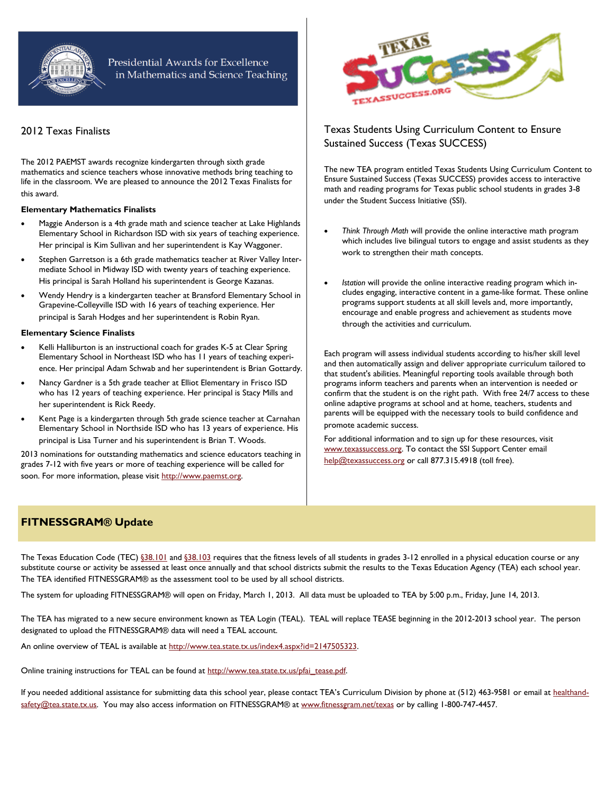

#### Presidential Awards for Excellence in Mathematics and Science Teaching

#### 2012 Texas Finalists

The 2012 PAEMST awards recognize kindergarten through sixth grade mathematics and science teachers whose innovative methods bring teaching to life in the classroom. We are pleased to announce the 2012 Texas Finalists for this award.

#### **Elementary Mathematics Finalists**

- Maggie Anderson is a 4th grade math and science teacher at Lake Highlands Elementary School in Richardson ISD with six years of teaching experience. Her principal is Kim Sullivan and her superintendent is Kay Waggoner.
- Stephen Garretson is a 6th grade mathematics teacher at River Valley Intermediate School in Midway ISD with twenty years of teaching experience. His principal is Sarah Holland his superintendent is George Kazanas.
- Wendy Hendry is a kindergarten teacher at Bransford Elementary School in Grapevine-Colleyville ISD with 16 years of teaching experience. Her principal is Sarah Hodges and her superintendent is Robin Ryan.

#### **Elementary Science Finalists**

- Kelli Halliburton is an instructional coach for grades K-5 at Clear Spring Elementary School in Northeast ISD who has 11 years of teaching experience. Her principal Adam Schwab and her superintendent is Brian Gottardy.
- Nancy Gardner is a 5th grade teacher at Elliot Elementary in Frisco ISD who has 12 years of teaching experience. Her principal is Stacy Mills and her superintendent is Rick Reedy.
- Kent Page is a kindergarten through 5th grade science teacher at Carnahan Elementary School in Northside ISD who has 13 years of experience. His principal is Lisa Turner and his superintendent is Brian T. Woods.

2013 nominations for outstanding mathematics and science educators teaching in grades 7-12 with five years or more of teaching experience will be called for soon. For more information, please visit [http://www.paemst.org.](http://www.paemst.org)



#### Texas Students Using Curriculum Content to Ensure Sustained Success (Texas SUCCESS)

The new TEA program entitled Texas Students Using Curriculum Content to Ensure Sustained Success (Texas SUCCESS) provides access to interactive math and reading programs for Texas public school students in grades 3-8 under the Student Success Initiative (SSI).

- *Think Through Math* will provide the online interactive math program which includes live bilingual tutors to engage and assist students as they work to strengthen their math concepts.
- *Istation* will provide the online interactive reading program which includes engaging, interactive content in a game-like format. These online programs support students at all skill levels and, more importantly, encourage and enable progress and achievement as students move through the activities and curriculum.

Each program will assess individual students according to his/her skill level and then automatically assign and deliver appropriate curriculum tailored to that student's abilities. Meaningful reporting tools available through both programs inform teachers and parents when an intervention is needed or confirm that the student is on the right path. With free 24/7 access to these online adaptive programs at school and at home, teachers, students and parents will be equipped with the necessary tools to build confidence and promote academic success.

For additional information and to sign up for these resources, visit [www.texassuccess.org](http://www.texassuccess.org). To contact the SSI Support Center email [help@texassuccess.org](mailto:help@texassuccess.org) or call 877.315.4918 (toll free).

#### **FITNESSGRAM® Update**

The Texas Education Code (TEC) [§38.101](http://www.statutes.legis.state.tx.us/Docs/ED/htm/ED.38.htm#38.101) and [§38.103](http://www.statutes.legis.state.tx.us/Docs/ED/htm/ED.38.htm#38.103) requires that the fitness levels of all students in grades 3-12 enrolled in a physical education course or any substitute course or activity be assessed at least once annually and that school districts submit the results to the Texas Education Agency (TEA) each school year. The TEA identified FITNESSGRAM® as the assessment tool to be used by all school districts.

The system for uploading FITNESSGRAM® will open on Friday, March 1, 2013. All data must be uploaded to TEA by 5:00 p.m., Friday, June 14, 2013.

The TEA has migrated to a new secure environment known as TEA Login (TEAL). TEAL will replace TEASE beginning in the 2012-2013 school year. The person designated to upload the FITNESSGRAM® data will need a TEAL account.

An online overview of TEAL is available at <http://www.tea.state.tx.us/index4.aspx?id=2147505323>.

Online training instructions for TEAL can be found at [http://www.tea.state.tx.us/pfai\\_tease.pdf.](http://www.tea.state.tx.us/pfai_tease.pdf)

If you needed additional assistance for submitting data this school year, please contact TEA's Curriculum Division by phone at (512) 463-9581 or email at [healthand](mailto:healthandsafety@tea.state.tx.us)[safety@tea.state.tx.us.](mailto:healthandsafety@tea.state.tx.us) You may also access information on FITNESSGRAM® at [www.fitnessgram.net/texas](http://www.fitnessgram.net/texas/) or by calling 1-800-747-4457.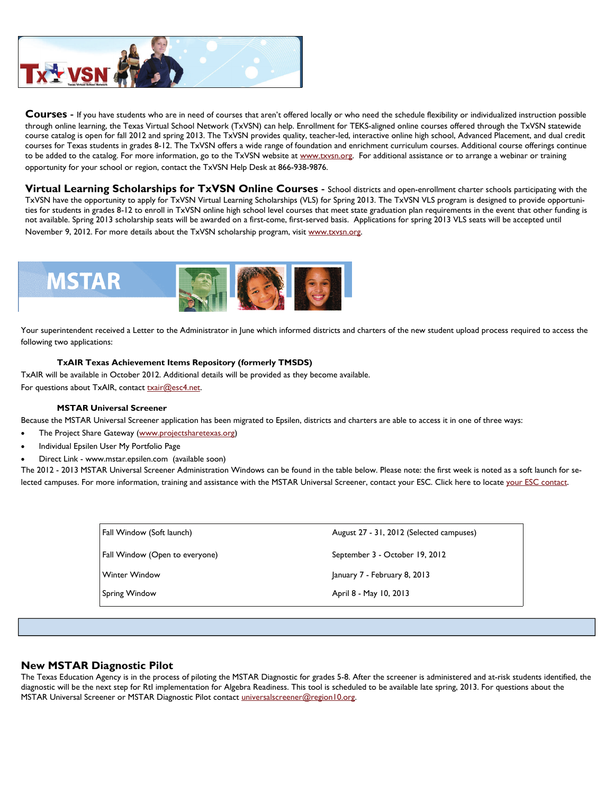

**Courses** - If you have students who are in need of courses that aren't offered locally or who need the schedule flexibility or individualized instruction possible through online learning, the Texas Virtual School Network (TxVSN) can help. Enrollment for TEKS-aligned online courses offered through the TxVSN statewide course catalog is open for fall 2012 and spring 2013. The TxVSN provides quality, teacher-led, interactive online high school, Advanced Placement, and dual credit courses for Texas students in grades 8-12. The TxVSN offers a wide range of foundation and enrichment curriculum courses. Additional course offerings continue to be added to the catalog. For more information, go to the TxVSN website at [www.txvsn.org](http://www.txvsn.org). For additional assistance or to arrange a webinar or training opportunity for your school or region, contact the TxVSN Help Desk at 866-938-9876.

**Virtual Learning Scholarships for TxVSN Online Courses** - School districts and open-enrollment charter schools participating with the TxVSN have the opportunity to apply for TxVSN Virtual Learning Scholarships (VLS) for Spring 2013. The TxVSN VLS program is designed to provide opportunities for students in grades 8-12 to enroll in TxVSN online high school level courses that meet state graduation plan requirements in the event that other funding is not available. Spring 2013 scholarship seats will be awarded on a first-come, first-served basis. Applications for spring 2013 VLS seats will be accepted until November 9, 2012. For more details about the TxVSN scholarship program, visit [www.txvsn.org.](http://www.txvsn.org)



Your superintendent received a Letter to the Administrator in June which informed districts and charters of the new student upload process required to access the following two applications:

#### **TxAIR Texas Achievement Items Repository (formerly TMSDS)**

TxAIR will be available in October 2012. Additional details will be provided as they become available. For questions about TxAIR, contact [txair@esc4.net.](mailto:txair@esc4.net)

#### **MSTAR Universal Screener**

Because the MSTAR Universal Screener application has been migrated to Epsilen, districts and charters are able to access it in one of three ways:

- The Project Share Gateway ([www.projectsharetexas.org](http://www.projectsharetexas.org))
- Individual Epsilen User My Portfolio Page
- Direct Link www.mstar.epsilen.com (available soon)

The 2012 - 2013 MSTAR Universal Screener Administration Windows can be found in the table below. Please note: the first week is noted as a soft launch for selected campuses. For more information, training and assistance with the MSTAR Universal Screener, contact your ESC. Click here to locate [your ESC contact](http://region10.org/tmsds/files/esc_contacts.pdf).

| Fall Window (Soft launch)      | August 27 - 31, 2012 (Selected campuses) |
|--------------------------------|------------------------------------------|
| Fall Window (Open to everyone) | September 3 - October 19, 2012           |
| <b>Winter Window</b>           | January 7 - February 8, 2013             |
| Spring Window                  | April 8 - May 10, 2013                   |

#### **New MSTAR Diagnostic Pilot**

The Texas Education Agency is in the process of piloting the MSTAR Diagnostic for grades 5-8. After the screener is administered and at-risk students identified, the diagnostic will be the next step for RtI implementation for Algebra Readiness. This tool is scheduled to be available late spring, 2013. For questions about the MSTAR Universal Screener or MSTAR Diagnostic Pilot contact [universalscreener@region10.org](mailto:universalscreener@region10.org).